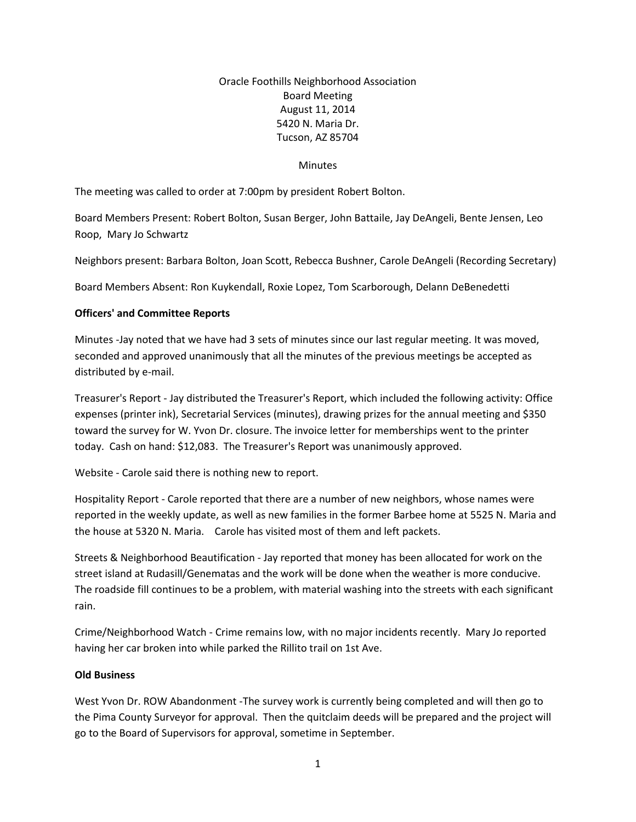# Oracle Foothills Neighborhood Association Board Meeting August 11, 2014 5420 N. Maria Dr. Tucson, AZ 85704

#### **Minutes**

The meeting was called to order at 7:00pm by president Robert Bolton.

Board Members Present: Robert Bolton, Susan Berger, John Battaile, Jay DeAngeli, Bente Jensen, Leo Roop, Mary Jo Schwartz

Neighbors present: Barbara Bolton, Joan Scott, Rebecca Bushner, Carole DeAngeli (Recording Secretary)

Board Members Absent: Ron Kuykendall, Roxie Lopez, Tom Scarborough, Delann DeBenedetti

## **Officers' and Committee Reports**

Minutes -Jay noted that we have had 3 sets of minutes since our last regular meeting. It was moved, seconded and approved unanimously that all the minutes of the previous meetings be accepted as distributed by e-mail.

Treasurer's Report - Jay distributed the Treasurer's Report, which included the following activity: Office expenses (printer ink), Secretarial Services (minutes), drawing prizes for the annual meeting and \$350 toward the survey for W. Yvon Dr. closure. The invoice letter for memberships went to the printer today. Cash on hand: \$12,083. The Treasurer's Report was unanimously approved.

Website - Carole said there is nothing new to report.

Hospitality Report - Carole reported that there are a number of new neighbors, whose names were reported in the weekly update, as well as new families in the former Barbee home at 5525 N. Maria and the house at 5320 N. Maria. Carole has visited most of them and left packets.

Streets & Neighborhood Beautification - Jay reported that money has been allocated for work on the street island at Rudasill/Genematas and the work will be done when the weather is more conducive. The roadside fill continues to be a problem, with material washing into the streets with each significant rain.

Crime/Neighborhood Watch - Crime remains low, with no major incidents recently. Mary Jo reported having her car broken into while parked the Rillito trail on 1st Ave.

### **Old Business**

West Yvon Dr. ROW Abandonment -The survey work is currently being completed and will then go to the Pima County Surveyor for approval. Then the quitclaim deeds will be prepared and the project will go to the Board of Supervisors for approval, sometime in September.